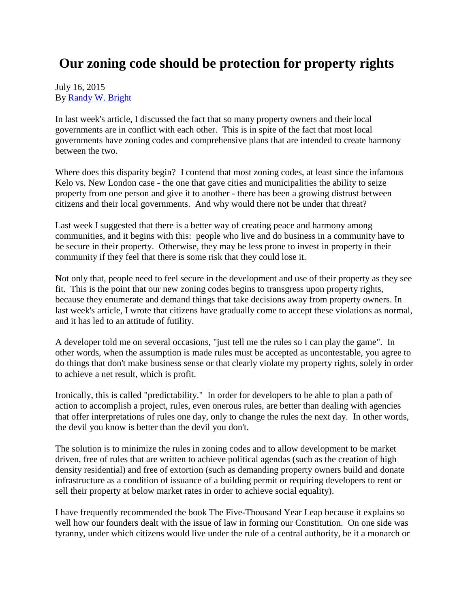## **Our zoning code should be protection for property rights**

## July 16, 2015 By [Randy W. Bright](http://www.tulsabeacon.com/author/slug-o6yd1v)

In last week's article, I discussed the fact that so many property owners and their local governments are in conflict with each other. This is in spite of the fact that most local governments have zoning codes and comprehensive plans that are intended to create harmony between the two.

Where does this disparity begin? I contend that most zoning codes, at least since the infamous Kelo vs. New London case - the one that gave cities and municipalities the ability to seize property from one person and give it to another - there has been a growing distrust between citizens and their local governments. And why would there not be under that threat?

Last week I suggested that there is a better way of creating peace and harmony among communities, and it begins with this: people who live and do business in a community have to be secure in their property. Otherwise, they may be less prone to invest in property in their community if they feel that there is some risk that they could lose it.

Not only that, people need to feel secure in the development and use of their property as they see fit. This is the point that our new zoning codes begins to transgress upon property rights, because they enumerate and demand things that take decisions away from property owners. In last week's article, I wrote that citizens have gradually come to accept these violations as normal, and it has led to an attitude of futility.

A developer told me on several occasions, "just tell me the rules so I can play the game". In other words, when the assumption is made rules must be accepted as uncontestable, you agree to do things that don't make business sense or that clearly violate my property rights, solely in order to achieve a net result, which is profit.

Ironically, this is called "predictability." In order for developers to be able to plan a path of action to accomplish a project, rules, even onerous rules, are better than dealing with agencies that offer interpretations of rules one day, only to change the rules the next day. In other words, the devil you know is better than the devil you don't.

The solution is to minimize the rules in zoning codes and to allow development to be market driven, free of rules that are written to achieve political agendas (such as the creation of high density residential) and free of extortion (such as demanding property owners build and donate infrastructure as a condition of issuance of a building permit or requiring developers to rent or sell their property at below market rates in order to achieve social equality).

I have frequently recommended the book The Five-Thousand Year Leap because it explains so well how our founders dealt with the issue of law in forming our Constitution. On one side was tyranny, under which citizens would live under the rule of a central authority, be it a monarch or